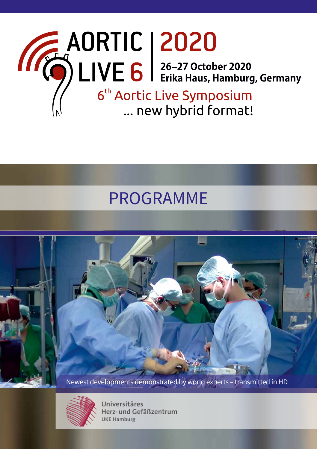

## PROGRAMME



Newest developments demonstrated by world experts – transmitted in HD



Universitäres Herz- und Gefäßzentrum **UKE Hamburg**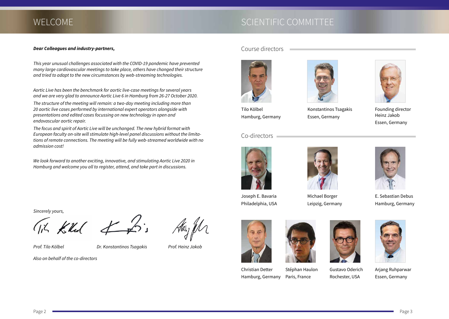## WELCOME WELCOME SCIENTIFIC COMMITTEE

#### *Dear Colleagues and industry-partners,*

*This year unusual challenges associated with the COVID-19 pandemic have prevented many large cardiovascular meetings to take place, others have changed their structure and tried to adapt to the new circumstances by web-streaming technologies.*

*Aortic Live has been the benchmark for aortic live-case meetings for several years and we are very glad to announce Aortic Live 6 in Hamburg from 26-27 October 2020.*

*The structure of the meeting will remain: a two-day meeting including more than 20 aortic live cases performed by international expert operators alongside with presentations and edited cases focussing on new technology in open and endovascular aortic repair.* 

*The focus and spirit of Aortic Live will be unchanged. The new hybrid format with European faculty on-site will stimulate high-level panel discussions without the limitations of remote connections. The meeting will be fully web-streamed worldwide with no admission cost!*

*We look forward to another exciting, innovative, and stimulating Aortic Live 2020 in Hamburg and welcome you all to register, attend, and take part in discussions.*

*Sincerely yours,*

Tik Kill of for

*Prof. Tilo Kölbel Dr. Konstantinos Tsagakis Prof. Heinz Jakob* 

*Also on behalf of the co-directors*





Tilo Kölbel Hamburg, Germany

#### Co-directors



Joseph E. Bavaria Philadelphia, USA



Michael Borger Leipzig, Germany

Konstantinos Tsagakis Essen, Germany



Founding director Heinz Jakob Essen, Germany

E. Sebastian Debus Hamburg, Germany





Christian Detter Hamburg, Germany





Arjang Ruhparwar Essen, Germany

Paris, France Gustavo Oderich Rochester, USA



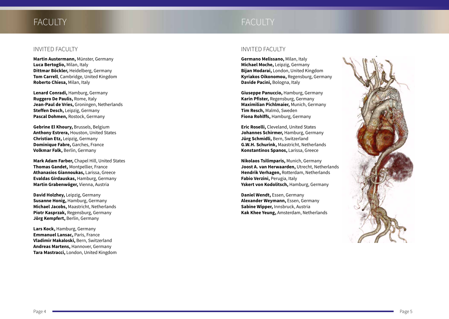## FACULTY **EXECULTY** FACULTY

**Martin Austermann,** Münster, Germany **Luca Bertoglio,** Milan, Italy **Dittmar Böckler,** Heidelberg, Germany **Tom Carrell**, Cambridge, United Kingdom **Roberto Chiesa,** Milan, Italy

**Lenard Conradi,** Hamburg, Germany **Ruggero De Paulis,** Rome, Italy **Jean-Paul de Vries,** Groningen, Netherlands **Steffen Desch,** Leipzig, Germany **Pascal Dohmen,** Rostock, Germany

**Gebrine El Khoury,** Brussels, Belgium **Anthony Estrera,** Houston, United States **Christian Etz,** Leipzig, Germany **Dominique Fabre,** Garches, France **Volkmar Falk,** Berlin, Germany

**Mark Adam Farber,** Chapel Hill, United States **Thomas Gandet,** Montpellier, France **Athanasios Giannoukas,** Larissa, Greece **Evaldas Girdauskas,** Hamburg, Germany **Martin Grabenwöger,** Vienna, Austria

**David Holzhey,** Leipzig, Germany **Susanne Honig,** Hamburg, Germany **Michael Jacobs,** Maastricht, Netherlands **Piotr Kasprzak,** Regensburg, Germany **Jörg Kempfert,** Berlin, Germany

**Lars Kock,** Hamburg, Germany **Emmanuel Lansac,** Paris, France **Vladimir Makaloski,** Bern, Switzerland **Andreas Martens,** Hannover, Germany **Tara Mastracci,** London, United Kingdom

### INVITED FACULTY INVITED FACULTY

**Germano Melissano,** Milan, Italy **Michael Moche,** Leipzig, Germany **Bijan Modarai,** London, United Kingdom **Kyriakos Oikonomou,** Regensburg, Germany **Davide Pacini,** Bologna, Italy

**Giuseppe Panuccio,** Hamburg, Germany **Karin Pfister,** Regensburg, Germany **Maximilian Pichlmaier,** Munich, Germany **Tim Resch,** Malmö, Sweden **Fiona Rohlffs,** Hamburg, Germany

**Eric Roselli,** Cleveland, United States **Johannes Schirmer,** Hamburg, Germany **Jürg Schmidli,** Bern, Switzerland **G.W.H. Schurink,** Maastricht, Netherlands **Konstantinos Spanos,** Larissa, Greece

**Nikolaos Tsilimparis,** Munich, Germany **Joost A. van Herwaarden,** Utrecht, Netherlands **Hendrik Verhagen,** Rotterdam, Netherlands **Fabio Verzini,** Perugia, Italy **Yskert von Kodolitsch,** Hamburg, Germany

**Daniel Wendt,** Essen, Germany **Alexander Weymann,** Essen, Germany **Sabine Wipper,** Innsbruck, Austria **Kak Khee Yeung,** Amsterdam, Netherlands

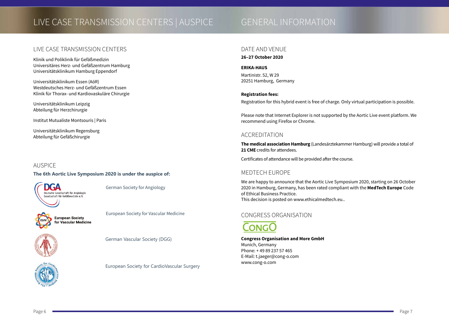## LIVE CASE TRANSMISSION CENTERS | AUSPICE GENERAL INFORMATION

### LIVE CASE TRANSMISSION CENTERS

Klinik und Poliklinik für Gefäßmedizin Universitäres Herz- und Gefäßzentrum Hamburg Universitätsklinikum Hamburg Eppendorf

Universitätsklinikum Essen (AöR) Westdeutsches Herz- und Gefäßzentrum Essen Klinik für Thorax- und Kardiovaskuläre Chirurgie

Universitätsklinikum Leipzig Abteilung für Herzchirurgie

Institut Mutualiste Montsouris | Paris

Universitätsklinikum Regensburg Abteilung für Gefäßchirurgie

#### AUSPICE

#### **The 6th Aortic Live Symposium 2020 is under the auspice of:**



German Society for Angiology



European Society for Vascular Medicine



German Vascular Society (DGG)

#### European Society for CardioVascular Surgery

#### DATE AND VENUE

#### **26–27 October 2020**

#### **ERIKA-HAUS**

Martinistr. 52, W 29 20251 Hamburg, Germany

#### **Registration fees:**

Registration for this hybrid event is free of charge. Only virtual participation is possible.

Please note that Internet Explorer is not supported by the Aortic Live event platform. We recommend using Firefox or Chrome.

### ACCREDITATION

**The medical association Hamburg** (Landesärztekammer Hamburg) will provide a total of **21 CME** credits for attendees.

Certificates of attendance will be provided after the course.

### MEDTECH EUROPE

We are happy to announce that the Aortic Live Symposium 2020, starting on 26 October 2020 in Hamburg, Germany, has been rated compliant with the **MedTech Europe** Code of Ethical Business Practice. This decision is posted on [www.ethicalmedtech.eu.](http://www.ethicalmedtech.eu.).

### CONGRESS ORGANISATION



**Congress Organisation and More GmbH** Munich, Germany Phone: + 49 89 237 57 465 E-Mail: t.jaeger@cong-o.com www.cong-o.com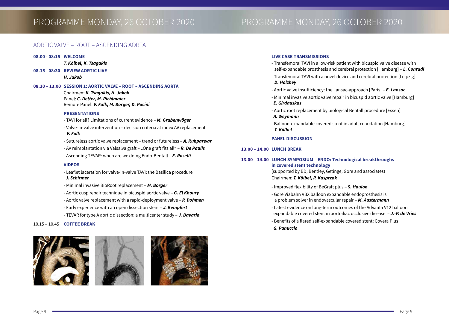## PROGRAMME MONDAY, 26 OCTOBER 2020 PROGRAMME MONDAY, 26 OCTOBER 2020

#### AORTIC VALVE – ROOT – ASCENDING AORTA

#### **08.00 - 08:15 WELCOME**

#### *T. Kölbel, K. Tsagakis*

**08.15 - 08:30 REVIEW AORTIC LIVE**

*H. Jakob*

#### **08.30 – 13.00 SESSION 1: AORTIC VALVE – ROOT – ASCENDING AORTA**

Chairmen: *K. Tsagakis, H. Jakob* Panel: *C. Detter, M. Pichlmaier* Remote Panel: *V. Falk, M. Borger, D. Pacini*

#### **PRESENTATIONS**

- TAVI for all? Limitations of current evidence *M. Grabenwöger*
- Valve-in-valve intervention decision criteria at index AV replacement *V. Falk*
- Sutureless aortic valve replacement trend or futureless *A. Ruhparwar*
- AV reimplantation via Valsalva graft "One graft fits all" **R. De Paulis**
- Ascending TEVAR: when are we doing Endo-Bentall *E. Roselli*

#### **VIDEOS**

- Leaflet laceration for valve-in-valve TAVI: the Basilica procedure *J. Schirmer*
- Minimal invasive BioRoot replacement *M. Borger*
- Aortic cusp repair technique in bicuspid aortic valve *G. El Khoury*
- Aortic valve replacement with a rapid-deployment valve *P. Dohmen*
- Early experience with an open dissection stent *J. Kempfert*
- TEVAR for type A aortic dissection: a multicenter study *J. Bavaria*

#### 10.15 – 10.45 **COFFEE BREAK**



#### **LIVE CASE TRANSMISSIONS**

- Transfemoral TAVI in a low-risk patient with bicuspid valve disease with self-expandable prosthesis and cerebral protection [Hamburg] – *L. Conradi*
- Transfemoral TAVI with a novel device and cerebral protection [Leipzig] *D. Holzhey*
- Aortic valve insufficiency: the Lansac-approach [Paris] *E. Lansac*
- Minimal invasive aortic valve repair in bicuspid aortic valve [Hamburg] *E. Girdauskas*
- Aortic root replacement by biological Bentall procedure [Essen] *A. Weymann*
- Balloon-expandable covered stent in adult coarctation [Hamburg] *T. Kölbel*

#### **PANEL DISCUSSION**

#### **13.00 – 14.00 LUNCH BREAK**

#### **13.00 – 14.00 LUNCH SYMPOSIUM – ENDO: Technological breakthroughs in covered stent technology**

(supported by BD, Bentley, Getinge, Gore and associates) Chairmen: *T. Kölbel, P. Kasprzak*

- Improved flexibility of BeGraft plus *S. Haulon*
- Gore Viabahn VBX balloon expandable endoprosthesis is a problem solver in endovascular repair – *M. Austermann*
- Latest evidence on long-term outcomes of the Advanta V12 balloon expandable covered stent in aortoiliac occlusive disease – *J.-P. de Vries*
- Benefits of a flared self-expandable covered stent: Covera Plus
- *G. Panuccio*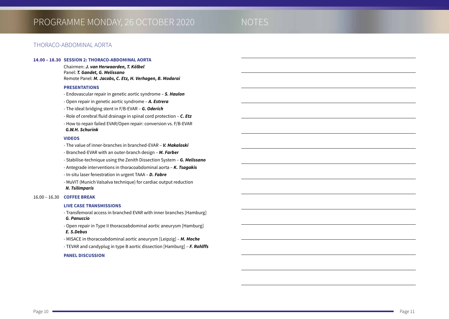#### THORACO-ABDOMINAL AORTA

#### **14.00 – 18.30 SESSION 2: THORACO-ABDOMINAL AORTA**

Chairmen: *J. van Herwaarden, T. Kölbel* Panel: *T. Gandet, G. Melissano* Remote Panel: *M. Jacobs, C. Etz, H. Verhagen, B. Modarai* 

#### **PRESENTATIONS**

- Endovascular repair in genetic aortic syndrome – *S. Haulon*

- Open repair in genetic aortic syndrome – *A. Estrera* 

- The ideal bridging stent in F/B-EVAR – *G. Oderich*

- Role of cerebral fluid drainage in spinal cord protection – *C. Etz*

- How to repair failed EVAR/Open repair: conversion vs. F/B-EVAR *G.W.H. Schurink*

#### **VIDEOS**

- The value of inner-branches in branched-EVAR – *V. Makaloski*

- Branched-EVAR with an outer-branch design – *M. Farber*

- Stabilise-technique using the Zenith Dissection System – *G. Melissano*

- Antegrade interventions in thoracoabdominal aorta – *K. Tsagakis*

- In-situ laser fenestration in urgent TAAA – *D. Fabre*

- MuVIT (Munich Valsalva technique) for cardiac output reduction *N. Tsilimparis*

#### 16.00 – 16.30 **COFFEE BREAK**

#### **LIVE CASE TRANSMISSIONS**

- Transfemoral access in branched EVAR with inner branches [Hamburg] *G. Panuccio*

- Open repair in Type II thoracoabdominal aortic aneurysm [Hamburg] *E. S.Debus*

- MISACE in thoracoabdominal aortic aneurysm [Leipzig] – *M. Moche*

- TEVAR and candyplug in type B aortic dissection [Hamburg] – *F. Rohlffs*

#### **PANEL DISCUSSION**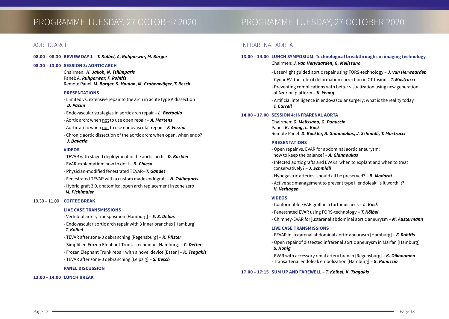#### AORTIC ARCH

#### **08.00 – 08.30 REVIEW DAY 1** – *T. Kölbel, A. Ruhparwar, M. Borger*

#### **08.30 – 13.00 SESSION 3: AORTIC ARCH**

Chairmen: *H. Jakob, N. Tsilimparis* Panel: *A. Ruhparwar, F. Rohlffs* Remote Panel: *M. Borger, S. Haulon, M. Grabenwöger, T. Resch*

#### **PRESENTATIONS**

- Limited vs. extensive repair to the arch in acute type A dissection *D. Pacini*
- Endovascular strategies in aortic arch repair *L. Bertoglio*
- Aortic arch: when not to use open repair *A. Martens*
- Aortic arch: when not to use endovascular repair *F. Verzini*
- Chronic aortic dissection of the aortic arch: when open, when endo? *J. Bavaria*

#### **VIDEOS**

- TEVAR with staged deployment in the aortic arch *D. Böckler*
- EVAR-explantation: how to do it *R. Chiesa*
- Physician-modified fenestrated TEVAR– *T. Gandet*
- Fenestrated TEVAR with a custom made endograft *N. Tsilimparis*
- Hybrid graft 3.0, anatomical open arch replacement in zone zero *M. Pichlmaier*

#### 10.30 – 11.00 **COFFEE BREAK**

#### **LIVE CASE TRANSMISSIONS**

- Vertebral artery transposition [Hamburg] *E. S. Debus*
- Endovascular aortic arch repair with 3 inner branches [Hamburg] *T. Kölbel*
- TEVAR after zone-0 debranching [Regensburg] *K. Pfister*
- Simplified Frozen Elephant Trunk technique [Hamburg] *C. Detter*
- Frozen Elephant Trunk repair with a novel device [Essen] *K. Tsagakis*
- TEVAR after zone-0 debranching [Leipzig] *S. Desch*

#### **PANEL DISCUSSION**

#### **13.00 – 14.00 LUNCH BREAK**

## PROGRAMME TUESDAY, 27 OCTOBER 2020 PROGRAMME TUESDAY, 27 OCTOBER 2020

#### INFRARENAL AORTA

#### **13.00 – 14.00 LUNCH SYMPOSIUM: Technological breakthroughs in imaging technology** Chairmen: *J. van Herwaarden, G. Melissano*

- Laser-light guided aortic repair using FORS-technology *J. van Herwaarden*
- Cydar EV: the role of deformation correction in CT-fusion *T. Mastracci*
- Preventing complications with better visualization using new generation of Azurion platform – *K. Yeung*
- Artificial intelligence in endovascular surgery: what is the reality today *T. Carrell*

#### **14.00 – 17.00 SESSION 4: INFRARENAL AORTA**

Chairmen: *G. Melissano, G. Panuccio* Panel: *K. Yeung, L. Kock* Remote Panel: *D. Böckler, A. Giannoukas, J. Schmidli, T. Mastracci*

#### **PRESENTATIONS**

- Open repair vs. EVAR for abdominal aortic aneurysm: how to keep the balance? – *A. Giannoukas*
- Infected aortic grafts and EVARs: when to explant and when to treat conservatively? – *J. Schmidli*
- Hypogastric arteries: should all be preserved? *B. Modarai*
- Active sac management to prevent type II endoleak: is it worth it? *H. Verhagen*

#### **VIDEOS**

- Conformable EVAR graft in a tortuous neck *L. Kock*
- Fenestrated EVAR using FORS-technology *T. Kölbel*
- Chimney-EVAR for juxtarenal abdominal aortic aneurysm *M. Austermann*

#### **LIVE CASE TRANSMISSIONS**

- FEVAR in juxtarenal abdominal aortic aneurysm [Hamburg] *F. Rohlffs*
- Open repair of dissected infrarenal aortic aneurysm in Marfan [Hamburg] *S. Honig*
- EVAR with accessory renal artery branch [Regensburg] *K. Oikonomou*
- Transarterial endoleak embolization [Hamburg] *G. Panuccio*

#### **17.00 – 17:15 SUM UP AND FAREWELL** – *T. Kölbel, K. Tsagakis*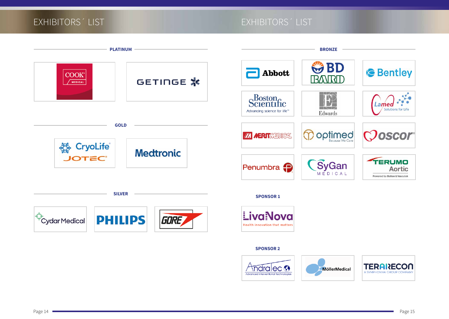